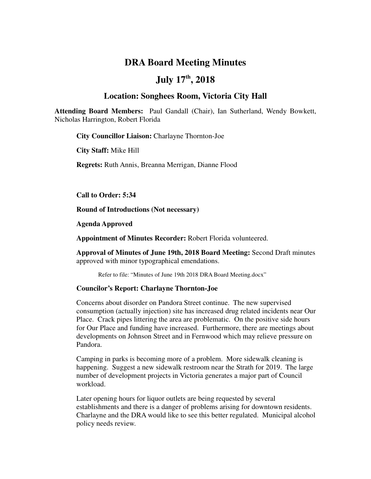# **DRA Board Meeting Minutes**

# **July 17th, 2018**

### **Location: Songhees Room, Victoria City Hall**

**Attending Board Members:** Paul Gandall (Chair), Ian Sutherland, Wendy Bowkett, Nicholas Harrington, Robert Florida

**City Councillor Liaison:** Charlayne Thornton-Joe

**City Staff:** Mike Hill

**Regrets:** Ruth Annis, Breanna Merrigan, Dianne Flood

**Call to Order: 5:34** 

**Round of Introductions (Not necessary)**

**Agenda Approved**

**Appointment of Minutes Recorder:** Robert Florida volunteered.

**Approval of Minutes of June 19th, 2018 Board Meeting:** Second Draft minutes approved with minor typographical emendations.

Refer to file: "Minutes of June 19th 2018 DRA Board Meeting.docx"

### **Councilor's Report: Charlayne Thornton-Joe**

Concerns about disorder on Pandora Street continue. The new supervised consumption (actually injection) site has increased drug related incidents near Our Place. Crack pipes littering the area are problematic. On the positive side hours for Our Place and funding have increased. Furthermore, there are meetings about developments on Johnson Street and in Fernwood which may relieve pressure on Pandora.

Camping in parks is becoming more of a problem. More sidewalk cleaning is happening. Suggest a new sidewalk restroom near the Strath for 2019. The large number of development projects in Victoria generates a major part of Council workload.

Later opening hours for liquor outlets are being requested by several establishments and there is a danger of problems arising for downtown residents. Charlayne and the DRA would like to see this better regulated. Municipal alcohol policy needs review.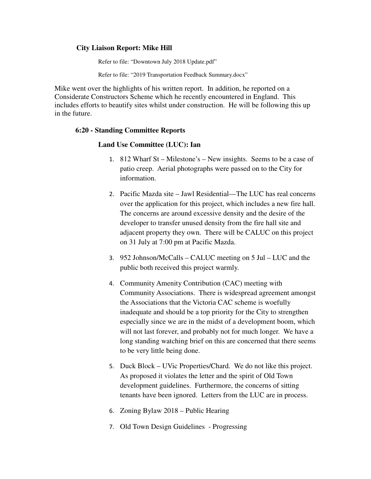### **City Liaison Report: Mike Hill**

Refer to file: "Downtown July 2018 Update.pdf"

Refer to file: "2019 Transportation Feedback Summary.docx"

Mike went over the highlights of his written report. In addition, he reported on a Considerate Constructors Scheme which he recently encountered in England. This includes efforts to beautify sites whilst under construction. He will be following this up in the future.

### **6:20 - Standing Committee Reports**

### **Land Use Committee (LUC): Ian**

- 1. 812 Wharf St Milestone's New insights. Seems to be a case of patio creep. Aerial photographs were passed on to the City for information.
- 2. Pacific Mazda site Jawl Residential—The LUC has real concerns over the application for this project, which includes a new fire hall. The concerns are around excessive density and the desire of the developer to transfer unused density from the fire hall site and adjacent property they own. There will be CALUC on this project on 31 July at 7:00 pm at Pacific Mazda.
- 3. 952 Johnson/McCalls CALUC meeting on 5 Jul LUC and the public both received this project warmly.
- 4. Community Amenity Contribution (CAC) meeting with Community Associations. There is widespread agreement amongst the Associations that the Victoria CAC scheme is woefully inadequate and should be a top priority for the City to strengthen especially since we are in the midst of a development boom, which will not last forever, and probably not for much longer. We have a long standing watching brief on this are concerned that there seems to be very little being done.
- 5. Duck Block UVic Properties/Chard. We do not like this project. As proposed it violates the letter and the spirit of Old Town development guidelines. Furthermore, the concerns of sitting tenants have been ignored. Letters from the LUC are in process.
- 6. Zoning Bylaw 2018 Public Hearing
- 7. Old Town Design Guidelines Progressing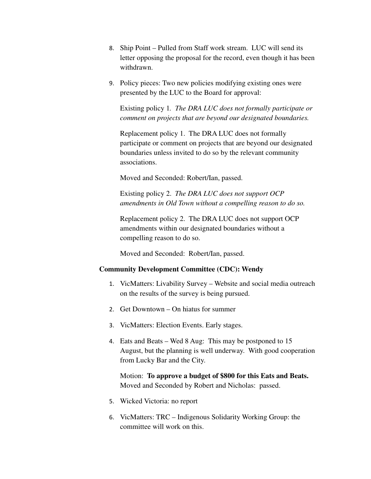- 8. Ship Point Pulled from Staff work stream. LUC will send its letter opposing the proposal for the record, even though it has been withdrawn.
- 9. Policy pieces: Two new policies modifying existing ones were presented by the LUC to the Board for approval:

Existing policy 1*. The DRA LUC does not formally participate or comment on projects that are beyond our designated boundaries.*

Replacement policy 1. The DRA LUC does not formally participate or comment on projects that are beyond our designated boundaries unless invited to do so by the relevant community associations.

Moved and Seconded: Robert/Ian, passed.

Existing policy 2. *The DRA LUC does not support OCP amendments in Old Town without a compelling reason to do so.*

Replacement policy 2. The DRA LUC does not support OCP amendments within our designated boundaries without a compelling reason to do so.

Moved and Seconded: Robert/Ian, passed.

### **Community Development Committee (CDC): Wendy**

- 1. VicMatters: Livability Survey Website and social media outreach on the results of the survey is being pursued.
- 2. Get Downtown On hiatus for summer
- 3. VicMatters: Election Events. Early stages.
- 4. Eats and Beats Wed 8 Aug: This may be postponed to 15 August, but the planning is well underway. With good cooperation from Lucky Bar and the City.

Motion: **To approve a budget of \$800 for this Eats and Beats.** Moved and Seconded by Robert and Nicholas: passed.

- 5. Wicked Victoria: no report
- 6. VicMatters: TRC Indigenous Solidarity Working Group: the committee will work on this.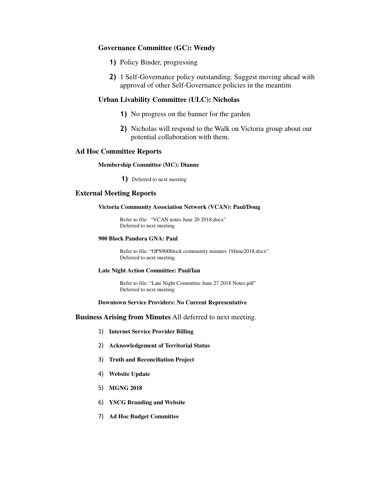### **Governance Committee (GC): Wendy**

- 1) Policy Binder, progressing
- 2) 1 Self-Governance policy outstanding. Suggest moving ahead with approval of other Self-Governance policies in the meantim

### **Urban Livability Committee (ULC): Nicholas**

- 1) No progress on the banner for the garden
- 2) Nicholas will respond to the Walk on Victoria group about our potential collaboration with them.

#### **Ad Hoc Committee Reports**

#### **Membership Committee (MC): Dianne**

1) Deferred to next meeting

#### **External Meeting Reports**

#### **Victoria Community Association Network (VCAN): Paul/Doug**

Refer to file: "VCAN notes June 20 2018.docx" Deferred to next meeting

#### **900 Block Pandora GNA: Paul**

Refer to file: "OPS900block community minutes 19June2018.docx" Deferred to next meeting.

#### **Late Night Action Committee: Paul/Ian**

Refer to file: "Late Night Committee June 27 2018 Notes.pdf" Deferred to next meeting

#### **Downtown Service Providers: No Current Representative**

#### **Business Arising from Minutes** All deferred to next meeting.

- 1) **Internet Service Provider Billing**
- 2) **Acknowledgement of Territorial Status**
- 3) **Truth and Reconciliation Project**
- 4) **Website Update**
- 5) **MGNG 2018**
- 6) **YSCG Branding and Website**
- 7) **Ad Hoc Budget Committee**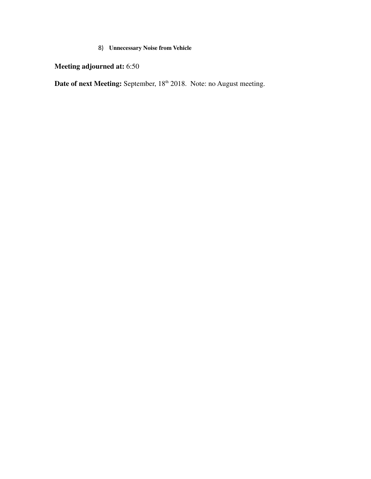# 8) **Unnecessary Noise from Vehicle**

**Meeting adjourned at:** 6:50

**Date of next Meeting:** September, 18<sup>th</sup> 2018. Note: no August meeting.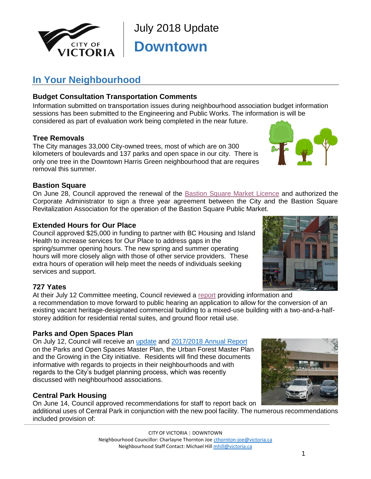

July 2018 Update **Downtown**

# **In Your Neighbourhood**

# **Budget Consultation Transportation Comments**

Information submitted on transportation issues during neighbourhood association budget information sessions has been submitted to the Engineering and Public Works. The information is will be considered as part of evaluation work being completed in the near future.

### **Tree Removals**

The City manages 33,000 City-owned trees, most of which are on 300 kilometers of boulevards and 137 parks and open space in our city. There is only one tree in the Downtown Harris Green neighbourhood that are requires removal this summer.

### **Bastion Square**

On June 28, Council approved the renewal of the [Bastion Square Market Licence](https://pub-victoria.escribemeetings.com/Meeting?Id=ef5435e0-fd3f-4abc-9fe3-c91e41a6e50e&Agenda=Merged&lang=English#13) and authorized the Corporate Administrator to sign a three year agreement between the City and the Bastion Square Revitalization Association for the operation of the Bastion Square Public Market.

### **Extended Hours for Our Place**

Council approved \$25,000 in funding to partner with BC Housing and Island Health to increase services for Our Place to address gaps in the spring/summer opening hours. The new spring and summer operating hours will more closely align with those of other service providers. These extra hours of operation will help meet the needs of individuals seeking services and support.

# **727 Yates**

At their July 12 Committee meeting, Council reviewed a [report](https://pub-victoria.escribemeetings.com/filestream.ashx?DocumentId=19054) providing information and a recommendation to move forward to public hearing an application to allow for the conversion of an existing vacant heritage-designated commercial building to a mixed-use building with a two-and-a-halfstorey addition for residential rental suites, and ground floor retail use.

# **Parks and Open Spaces Plan**

On July 12, Council will receive an [update](https://pub-victoria.escribemeetings.com/filestream.ashx?DocumentId=18457) and [2017/2018 Annual Report](https://pub-victoria.escribemeetings.com/filestream.ashx?DocumentId=18458) on the Parks and Open Spaces Master Plan, the Urban Forest Master Plan and the Growing in the City initiative. Residents will find these documents informative with regards to projects in their neighbourhoods and with regards to the City's budget planning process, which was recently discussed with neighbourhood associations.

# **Central Park Housing**

On June 14, Council approved recommendations for staff to report back on additional uses of Central Park in conjunction with the new pool facility. The numerous recommendations included provision of:

> CITY OF VICTORIA | DOWNTOWN Neighbourhood Councillor: Charlayne Thornton Joe [cthornton-joe@victoria.ca](file://///files/Sdrive/Neighbourhood%20Team/Hotsheets/Downtown%20Harris%20Green/2018/January,%202018/cthornton-joe@victoria.ca) Neighbourhood Staff Contact: Michael Hil[l mhill@victoria.ca](mailto:mhill@victoria.ca)